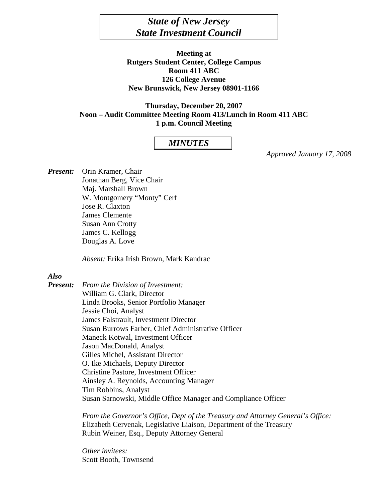# *State of New Jersey State Investment Council*

**Meeting at Rutgers Student Center, College Campus Room 411 ABC 126 College Avenue New Brunswick, New Jersey 08901-1166** 

**Thursday, December 20, 2007 Noon – Audit Committee Meeting Room 413/Lunch in Room 411 ABC 1 p.m. Council Meeting** 

# *MINUTES*

*Approved January 17, 2008* 

*Present:* Orin Kramer, Chair Jonathan Berg, Vice Chair Maj. Marshall Brown W. Montgomery "Monty" Cerf Jose R. Claxton James Clemente Susan Ann Crotty James C. Kellogg Douglas A. Love

*Absent:* Erika Irish Brown, Mark Kandrac

#### *Also*

*Present: From the Division of Investment:*  William G. Clark, Director Linda Brooks, Senior Portfolio Manager Jessie Choi, Analyst James Falstrault, Investment Director Susan Burrows Farber, Chief Administrative Officer Maneck Kotwal, Investment Officer Jason MacDonald, Analyst Gilles Michel, Assistant Director O. Ike Michaels, Deputy Director Christine Pastore, Investment Officer Ainsley A. Reynolds, Accounting Manager Tim Robbins, Analyst Susan Sarnowski, Middle Office Manager and Compliance Officer

> *From the Governor's Office, Dept of the Treasury and Attorney General's Office:*  Elizabeth Cervenak, Legislative Liaison, Department of the Treasury Rubin Weiner, Esq., Deputy Attorney General

*Other invitees:*  Scott Booth, Townsend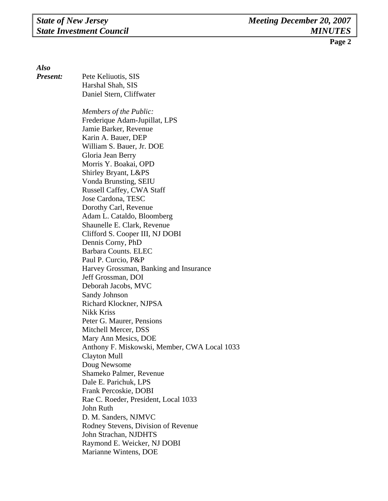*Also* 

*Present:* Pete Keliuotis, SIS Harshal Shah, SIS **Daniel Stern, Cliffwater**  *Members of the Public:* Frederique Adam-Jupillat, LPS Jamie Barker, Revenue Karin A. Bauer, DEP William S. Bauer, Jr. DOE Gloria Jean Berry Morris Y. Boakai, OPD Shirley Bryant, L&PS Vonda Brunsting, SEIU Russell Caffey, CWA Staff Jose Cardona, TESC Dorothy Carl, Revenue Adam L. Cataldo, Bloomberg Shaunelle E. Clark, Revenue Clifford S. Cooper III, NJ DOBI Dennis Corny, PhD Barbara Counts. ELEC Paul P. Curcio, P&P Harvey Grossman, Banking and Insurance Jeff Grossman, DOI Deborah Jacobs, MVC Sandy Johnson Richard Klockner, NJPSA Nikk Kriss Peter G. Maurer, Pensions Mitchell Mercer, DSS Mary Ann Mesics, DOE Anthony F. Miskowski, Member, CWA Local 1033 Clayton Mull Doug Newsome Shameko Palmer, Revenue Dale E. Parichuk, LPS Frank Percoskie, DOBI Rae C. Roeder, President, Local 1033 John Ruth D. M. Sanders, NJMVC Rodney Stevens, Division of Revenue John Strachan, NJDHTS Raymond E. Weicker, NJ DOBI Marianne Wintens, DOE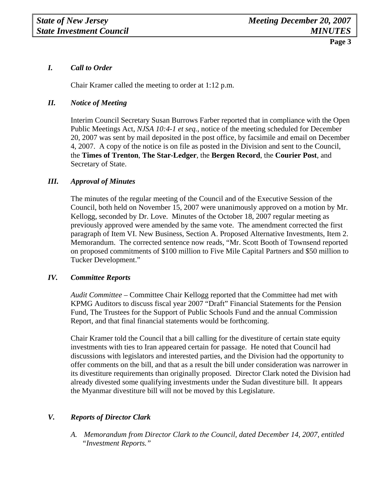# *I. Call to Order*

Chair Kramer called the meeting to order at 1:12 p.m.

### *II. Notice of Meeting*

 Interim Council Secretary Susan Burrows Farber reported that in compliance with the Open Public Meetings Act, *NJSA 10:4-1 et seq.,* notice of the meeting scheduled for December 20, 2007 was sent by mail deposited in the post office, by facsimile and email on December 4, 2007. A copy of the notice is on file as posted in the Division and sent to the Council, the **Times of Trenton**, **The Star-Ledger**, the **Bergen Record**, the **Courier Post**, and Secretary of State.

#### *III. Approval of Minutes*

The minutes of the regular meeting of the Council and of the Executive Session of the Council, both held on November 15, 2007 were unanimously approved on a motion by Mr. Kellogg, seconded by Dr. Love. Minutes of the October 18, 2007 regular meeting as previously approved were amended by the same vote. The amendment corrected the first paragraph of Item VI. New Business, Section A. Proposed Alternative Investments, Item 2. Memorandum. The corrected sentence now reads, "Mr. Scott Booth of Townsend reported on proposed commitments of \$100 million to Five Mile Capital Partners and \$50 million to Tucker Development."

#### *IV. Committee Reports*

*Audit Committee –* Committee Chair Kellogg reported that the Committee had met with KPMG Auditors to discuss fiscal year 2007 "Draft" Financial Statements for the Pension Fund, The Trustees for the Support of Public Schools Fund and the annual Commission Report, and that final financial statements would be forthcoming.

Chair Kramer told the Council that a bill calling for the divestiture of certain state equity investments with ties to Iran appeared certain for passage. He noted that Council had discussions with legislators and interested parties, and the Division had the opportunity to offer comments on the bill, and that as a result the bill under consideration was narrower in its divestiture requirements than originally proposed. Director Clark noted the Division had already divested some qualifying investments under the Sudan divestiture bill. It appears the Myanmar divestiture bill will not be moved by this Legislature.

#### *V. Reports of Director Clark*

*A. Memorandum from Director Clark to the Council, dated December 14, 2007, entitled "Investment Reports."*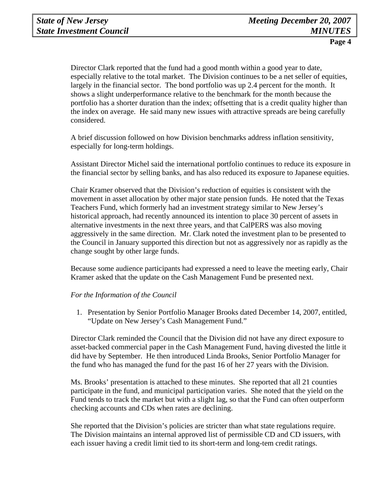Director Clark reported that the fund had a good month within a good year to date, especially relative to the total market. The Division continues to be a net seller of equities, largely in the financial sector. The bond portfolio was up 2.4 percent for the month. It shows a slight underperformance relative to the benchmark for the month because the portfolio has a shorter duration than the index; offsetting that is a credit quality higher than the index on average. He said many new issues with attractive spreads are being carefully considered.

A brief discussion followed on how Division benchmarks address inflation sensitivity, especially for long-term holdings.

Assistant Director Michel said the international portfolio continues to reduce its exposure in the financial sector by selling banks, and has also reduced its exposure to Japanese equities.

Chair Kramer observed that the Division's reduction of equities is consistent with the movement in asset allocation by other major state pension funds. He noted that the Texas Teachers Fund, which formerly had an investment strategy similar to New Jersey's historical approach, had recently announced its intention to place 30 percent of assets in alternative investments in the next three years, and that CalPERS was also moving aggressively in the same direction. Mr. Clark noted the investment plan to be presented to the Council in January supported this direction but not as aggressively nor as rapidly as the change sought by other large funds.

Because some audience participants had expressed a need to leave the meeting early, Chair Kramer asked that the update on the Cash Management Fund be presented next.

#### *For the Information of the Council*

1. Presentation by Senior Portfolio Manager Brooks dated December 14, 2007, entitled, "Update on New Jersey's Cash Management Fund."

Director Clark reminded the Council that the Division did not have any direct exposure to asset-backed commercial paper in the Cash Management Fund, having divested the little it did have by September. He then introduced Linda Brooks, Senior Portfolio Manager for the fund who has managed the fund for the past 16 of her 27 years with the Division.

Ms. Brooks' presentation is attached to these minutes. She reported that all 21 counties participate in the fund, and municipal participation varies. She noted that the yield on the Fund tends to track the market but with a slight lag, so that the Fund can often outperform checking accounts and CDs when rates are declining.

She reported that the Division's policies are stricter than what state regulations require. The Division maintains an internal approved list of permissible CD and CD issuers, with each issuer having a credit limit tied to its short-term and long-tem credit ratings.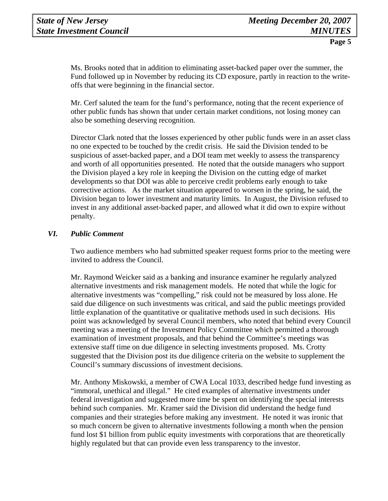Ms. Brooks noted that in addition to eliminating asset-backed paper over the summer, the Fund followed up in November by reducing its CD exposure, partly in reaction to the writeoffs that were beginning in the financial sector.

Mr. Cerf saluted the team for the fund's performance, noting that the recent experience of other public funds has shown that under certain market conditions, not losing money can also be something deserving recognition.

Director Clark noted that the losses experienced by other public funds were in an asset class no one expected to be touched by the credit crisis. He said the Division tended to be suspicious of asset-backed paper, and a DOI team met weekly to assess the transparency and worth of all opportunities presented. He noted that the outside managers who support the Division played a key role in keeping the Division on the cutting edge of market developments so that DOI was able to perceive credit problems early enough to take corrective actions. As the market situation appeared to worsen in the spring, he said, the Division began to lower investment and maturity limits. In August, the Division refused to invest in any additional asset-backed paper, and allowed what it did own to expire without penalty.

# *VI. Public Comment*

Two audience members who had submitted speaker request forms prior to the meeting were invited to address the Council.

Mr. Raymond Weicker said as a banking and insurance examiner he regularly analyzed alternative investments and risk management models. He noted that while the logic for alternative investments was "compelling," risk could not be measured by loss alone. He said due diligence on such investments was critical, and said the public meetings provided little explanation of the quantitative or qualitative methods used in such decisions. His point was acknowledged by several Council members, who noted that behind every Council meeting was a meeting of the Investment Policy Committee which permitted a thorough examination of investment proposals, and that behind the Committee's meetings was extensive staff time on due diligence in selecting investments proposed. Ms. Crotty suggested that the Division post its due diligence criteria on the website to supplement the Council's summary discussions of investment decisions.

Mr. Anthony Miskowski, a member of CWA Local 1033, described hedge fund investing as "immoral, unethical and illegal." He cited examples of alternative investments under federal investigation and suggested more time be spent on identifying the special interests behind such companies. Mr. Kramer said the Division did understand the hedge fund companies and their strategies before making any investment. He noted it was ironic that so much concern be given to alternative investments following a month when the pension fund lost \$1 billion from public equity investments with corporations that are theoretically highly regulated but that can provide even less transparency to the investor.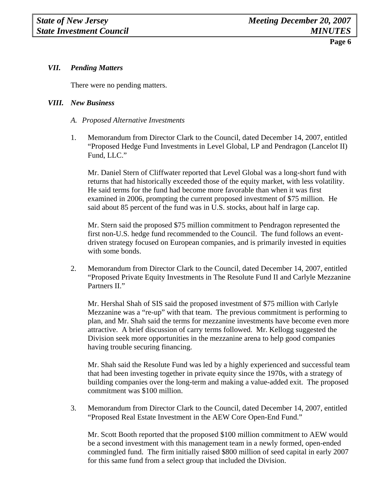### *VII. Pending Matters*

There were no pending matters.

#### *VIII. New Business*

- *A. Proposed Alternative Investments*
- 1. Memorandum from Director Clark to the Council, dated December 14, 2007, entitled "Proposed Hedge Fund Investments in Level Global, LP and Pendragon (Lancelot II) Fund, LLC."

Mr. Daniel Stern of Cliffwater reported that Level Global was a long-short fund with returns that had historically exceeded those of the equity market, with less volatility. He said terms for the fund had become more favorable than when it was first examined in 2006, prompting the current proposed investment of \$75 million. He said about 85 percent of the fund was in U.S. stocks, about half in large cap.

Mr. Stern said the proposed \$75 million commitment to Pendragon represented the first non-U.S. hedge fund recommended to the Council. The fund follows an eventdriven strategy focused on European companies, and is primarily invested in equities with some bonds.

2. Memorandum from Director Clark to the Council, dated December 14, 2007, entitled "Proposed Private Equity Investments in The Resolute Fund II and Carlyle Mezzanine Partners II."

Mr. Hershal Shah of SIS said the proposed investment of \$75 million with Carlyle Mezzanine was a "re-up" with that team. The previous commitment is performing to plan, and Mr. Shah said the terms for mezzanine investments have become even more attractive. A brief discussion of carry terms followed. Mr. Kellogg suggested the Division seek more opportunities in the mezzanine arena to help good companies having trouble securing financing.

Mr. Shah said the Resolute Fund was led by a highly experienced and successful team that had been investing together in private equity since the 1970s, with a strategy of building companies over the long-term and making a value-added exit. The proposed commitment was \$100 million.

3. Memorandum from Director Clark to the Council, dated December 14, 2007, entitled "Proposed Real Estate Investment in the AEW Core Open-End Fund."

Mr. Scott Booth reported that the proposed \$100 million commitment to AEW would be a second investment with this management team in a newly formed, open-ended commingled fund. The firm initially raised \$800 million of seed capital in early 2007 for this same fund from a select group that included the Division.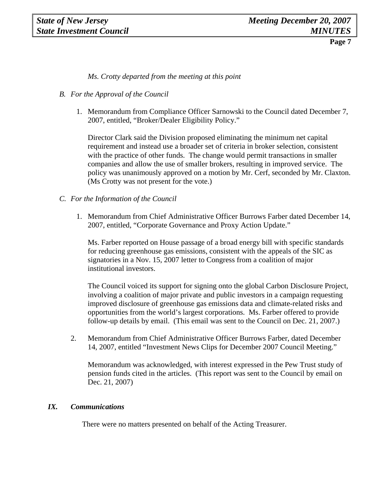*Ms. Crotty departed from the meeting at this point* 

# *B. For the Approval of the Council*

1. Memorandum from Compliance Officer Sarnowski to the Council dated December 7, 2007, entitled, "Broker/Dealer Eligibility Policy."

Director Clark said the Division proposed eliminating the minimum net capital requirement and instead use a broader set of criteria in broker selection, consistent with the practice of other funds. The change would permit transactions in smaller companies and allow the use of smaller brokers, resulting in improved service. The policy was unanimously approved on a motion by Mr. Cerf, seconded by Mr. Claxton. (Ms Crotty was not present for the vote.)

## *C. For the Information of the Council*

1. Memorandum from Chief Administrative Officer Burrows Farber dated December 14, 2007, entitled, "Corporate Governance and Proxy Action Update."

Ms. Farber reported on House passage of a broad energy bill with specific standards for reducing greenhouse gas emissions, consistent with the appeals of the SIC as signatories in a Nov. 15, 2007 letter to Congress from a coalition of major institutional investors.

The Council voiced its support for signing onto the global Carbon Disclosure Project, involving a coalition of major private and public investors in a campaign requesting improved disclosure of greenhouse gas emissions data and climate-related risks and opportunities from the world's largest corporations. Ms. Farber offered to provide follow-up details by email. (This email was sent to the Council on Dec. 21, 2007.)

2. Memorandum from Chief Administrative Officer Burrows Farber, dated December 14, 2007, entitled "Investment News Clips for December 2007 Council Meeting."

 Memorandum was acknowledged, with interest expressed in the Pew Trust study of pension funds cited in the articles. (This report was sent to the Council by email on Dec. 21, 2007)

### *IX. Communications*

There were no matters presented on behalf of the Acting Treasurer.